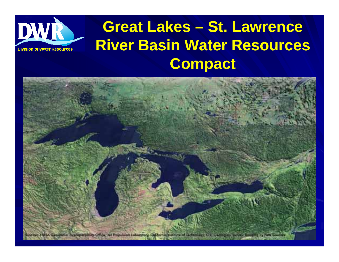

#### **Great Lakes – St. Lawrence River Basin Water Resources Compact**

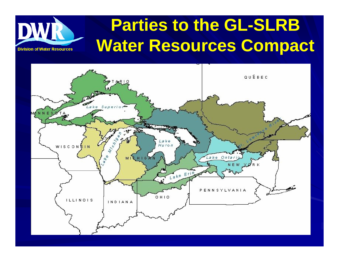#### **Parties to the GL-SLRB Water Resources Compact**



**Division of Water Resources**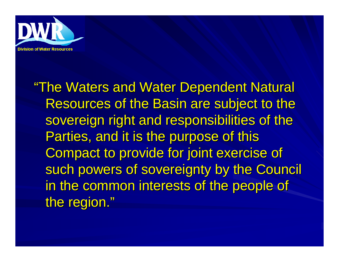

"The Waters and Water Dependent Natural Resources of the Basin are subject to the sovereign right and responsibilities of the Parties, and it is the purpose of this Compact to provide for joint exercise of such powers of sovereignty by the Council in the common interests of the people of the region."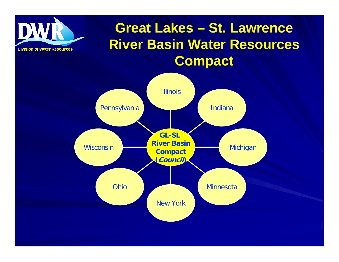

#### **Great Lakes – St. Lawrence River Basin Water Resources Compact**

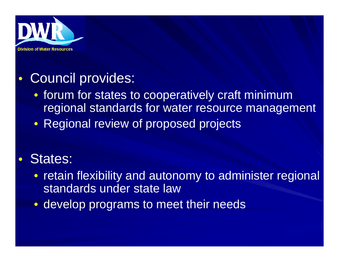

#### $\bullet$ Council provides:

- forum for states to cooperatively craft minimum regional standards for water resource management
- Regional review of proposed projects

#### $\bullet$ States:

- retain flexibility and autonomy to administer regional standards under state law
- develop programs to meet their needs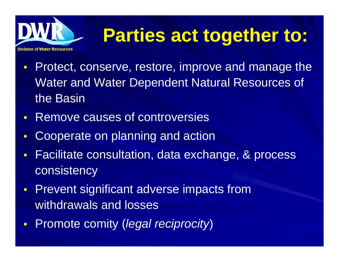

### **Parties act together to:**

- $\bullet$  Protect, conserve, restore, improve and manage the Water and Water Dependent Natural Resources of the Basin
- Remove causes of controversies
- $\bullet$ Cooperate on planning and action
- $\bullet$  Facilitate consultation, data exchange, & process consistency
- Prevent significant adverse impacts from withdrawals and losses
- $\bullet$ Promote comity (*legal reciprocity*)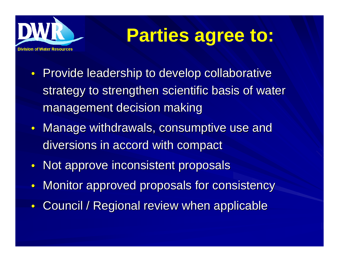

### **Parties agree to:**

- Provide leadership to develop collaborative strategy to strengthen scientific basis of water management decision making
- $\bullet~$  Manage withdrawals, consumptive use and diversions in accord with compact
- Not approve inconsistent proposals
- $\bullet$ Monitor approved proposals for consistency
- Council / Regional review when applicable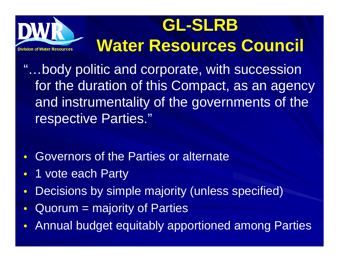### **GL-SLRB Water Resources Council**

- "…body politic and corporate, with succession for the duration of this Compact, as an agency and instrumentality of the governments of the respective Parties."
- $\bullet$ Governors of the Parties or alternate
- $\bullet$ 1 vote each Party
- $\bullet$ Decisions by simple majority (unless specified)
- $\bullet$ Quorum = majority of Parties
- $\bullet$ Annual budget equitably apportioned among Parties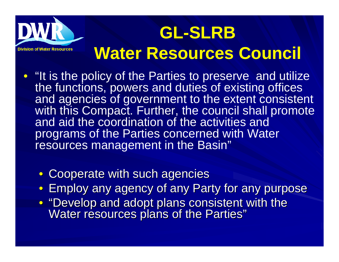# **GL-SLRB Water Resources Council**

- "It is the policy of the Parties to preserve and utilize the functions, powers and duties of existing offices and agencies of government to the extent consistent with this Compact. Further, the council shall promote and aid the coordination of the activities and programs of the Parties concerned with Water resources management in the Basin"
	- Cooperate with such agencies
	- Employ any agency of any Party for any purpose
	- "Develop and adopt plans consistent with the Water resources plans of the Parties"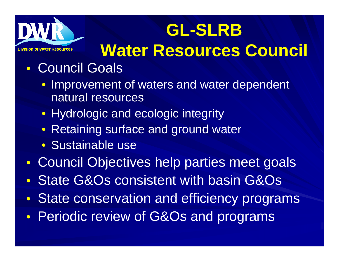

### **GL-SLRB**

#### **Water Resources Council**

- $\bullet$  Council Goals
	- Improvement of waters and water dependent natural resources
	- Hydrologic and ecologic integrity
	- Retaining surface and ground water
	- Sustainable use
- $\bullet$ Council Objectives help parties meet goals
- $\bullet$ State G&Os consistent with basin G&Os
- $\bullet$ State conservation and efficiency programs
- $\bullet$ Periodic review of G&Os and programs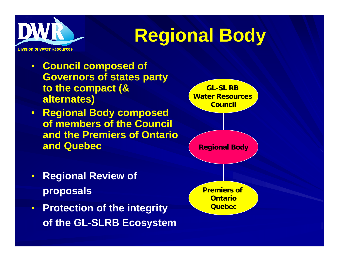

# **Regional Body**

- **Council composed of Governors of states party to the compact (& alternates)**
- **Regional Body composed of members of the Council and the Premiers of Ontario and Quebec**
- $\bullet$  **Regional Review of proposals**
- **Protection of the integrity of the GL-SLRB Ecosystem**

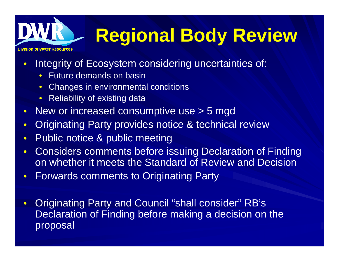# ≀ision of Water Reso

# **Regional Body Review**

- $\bullet$  Integrity of Ecosystem considering uncertainties of:
	- $\bullet$ Future demands on basin
	- $\bullet$ Changes in environmental conditions
	- $\bullet$ Reliability of existing data
- $\bullet$ New or increased consumptive use > 5 mgd
- $\bullet$ **Originating Party provides notice & technical review**
- $\bullet$ Public notice & public meeting
- $\bullet$  Considers comments before issuing Declaration of Finding on whether it meets the Standard of Review and Decision
- $\bullet$ Forwards comments to Originating Party
- $\bullet$  Originating Party and Council "shall consider" RB's Declaration of Finding before making a decision on the proposal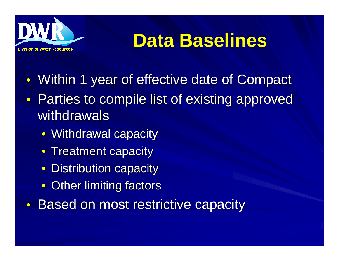

#### **Data Baselines**

- $\bullet$ Within 1 year of effective date of Compact
- $\bullet$ Parties to compile list of existing approved withdrawals
	- $\bullet\,$  Withdrawal capacity
	- Treatment capacity
	- $\bullet$  Distribution capacity
	- Other limiting factors
- $\bullet$ Based on most restrictive capacity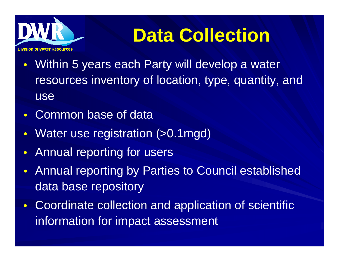

# **Data Collection**

- $\bullet$  Within 5 years each Party will develop a water resources inventory of location, type, quantity, and use
- $\bullet$ Common base of data
- $\bullet$ Water use registration (>0.1mgd)
- $\bullet$ Annual reporting for users
- $\bullet$  Annual reporting by Parties to Council established data base repository
- $\bullet$  Coordinate collection and application of scientific information for impact assessment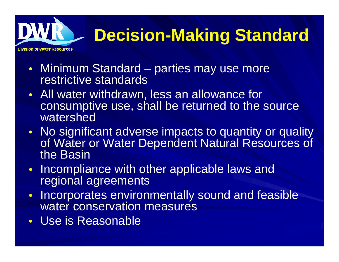#### **Decision-Making Standard**

- Minimum Standard parties may use more restrictive standards
- All water withdrawn, less an allowance for consumptive use, shall be returned to the source watershed
- No significant adverse impacts to quantity or quality of Water or Water Dependent Natural Resources of the Basin
- Incompliance with other applicable laws and regional agreements
- $\bullet$  Incorporates environmentally sound and feasible water conservation measures
- Use is Reasonable

vision of Water Resour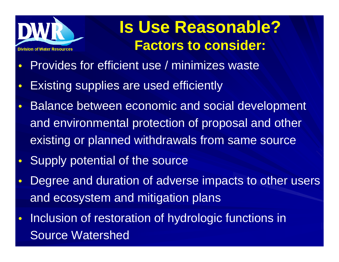

#### **Is Use Reasonable? Factors to consider:**

- $\bullet$ Provides for efficient use / minimizes waste
- $\bullet$ Existing supplies are used efficiently
- $\bullet$  Balance between economic and social development and environmental protection of proposal and other existing or planned withdrawals from same source
- $\bullet$ Supply potential of the source
- $\bullet$  Degree and duration of adverse impacts to other users and ecosystem and mitigation plans
- $\bullet$  Inclusion of restoration of hydrologic functions in Source Watershed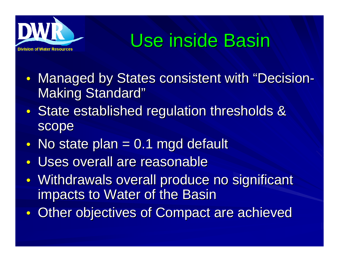

### Use inside Basin

- $\bullet$ • Managed by States consistent with "Decision -Making Standard"
- $\bullet$ State established regulation thresholds & scope
- $\bullet$ No state plan  $= 0.1$  mgd default
- $\bullet$ Uses overall are reasonable
- $\bullet$ Withdrawals overall produce no significant impacts to Water of the Basin
- $\bullet$ Other objectives of Compact are achieved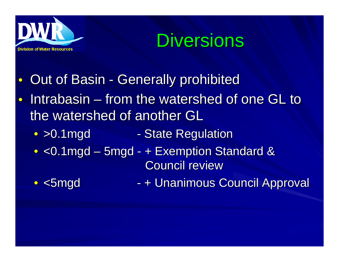

• <5mgd



- $\bullet$ **Out of Basin - Generally prohibited**
- $\bullet$  $\bullet$  Intrabasin – from the watershed of one GL to  $\bullet$ the watershed of another GL
	- > 0.1 mgd - State Regulation
	- $\bullet$  <0.1mgd 5mgd + Exemption Standard & Council review
		- + Unanimous Council Approval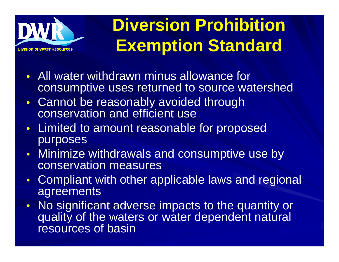

#### **Diversion Prohibition Exemption Standard**

- $\bullet$  All water withdrawn minus allowance for consumptive uses returned to source watershed
- $\bullet$  Cannot be reasonably avoided through conservation and efficient use
- $\bullet$  Limited to amount reasonable for proposed purposes
- $\bullet$  Minimize withdrawals and consumptive use by conservation measures
- $\bullet$  Compliant with other applicable laws and regional agreements
- $\bullet$  No significant adverse impacts to the quantity or quality of the waters or water dependent natural resources of basin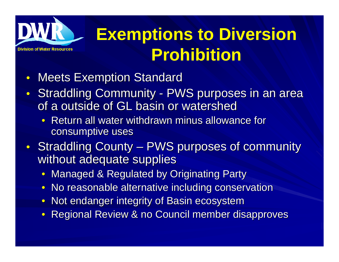

#### **Exemptions to Diversion Prohibition**

- $\bullet$ **Meets Exemption Standard**
- $\bullet$ • Straddling Community - PWS purposes in an area of a outside of GL basin or watershed
	- Return all water withdrawn minus allowance for consumptive uses
- $\bullet$ • Straddling County –– PWS purposes of community without adequate supplies
	- Managed & Regulated by Originating Party
	- $\bullet\,$  No reasonable alternative including conservation
	- Not endanger integrity of Basin ecosystem
	- $\bullet\,$  Regional Review & no Council member disapproves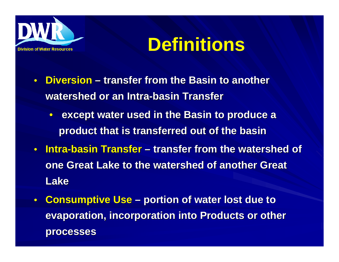

#### **Definitions**

- $\bullet$ **• Diversion** – transfer from the Basin to another **watershed or an Intra watershed or an Intra-basin Transfer basin Transfer**
	- **except water used in the Basin to produce a product that is transferred out of the basin product that is transferred out of the basin**
- $\bullet$  **Intra-basin Transfer basin Transfer – transfer from the watershed of transfer from the watershed of one Great Lake to the watershed of another Great Lake**
- $\bullet$ **Consumptive Use – portion of water lost due to evaporation, incorporation into Products or other processes processes**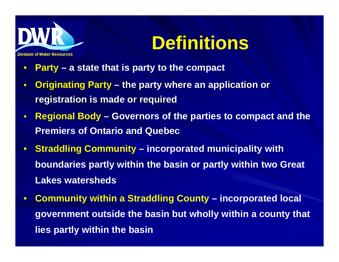

#### **Definitions**

- $\bullet$ **Party – a state that is party to the compact**
- $\bullet$ **Originating Party – the party where an application or registration is made or required registration is made or required**
- $\bullet$  **Regional Body – Governors of the parties to compact and the Premiers of Ontario and Quebec**
- $\bullet$  **Straddling Community – incorporated municipality with boundaries partly within the basin or partly within two Great Lakes watersheds**
- $\bullet$  **Community within a Straddling County – incorporated local government outside the basin but wholly within a county that lies partly within the basin**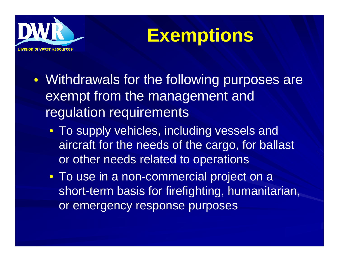

#### **Exemptions**

- $\bullet$ • Withdrawals for the following purposes are exempt from the management and regulation requirements
	- To supply vehicles, including vessels and aircraft for the needs of the cargo, for ballast or other needs related to operations
	- To use in a non-commercial project on a short-term basis for firefighting, humanitarian, or emergency response purposes